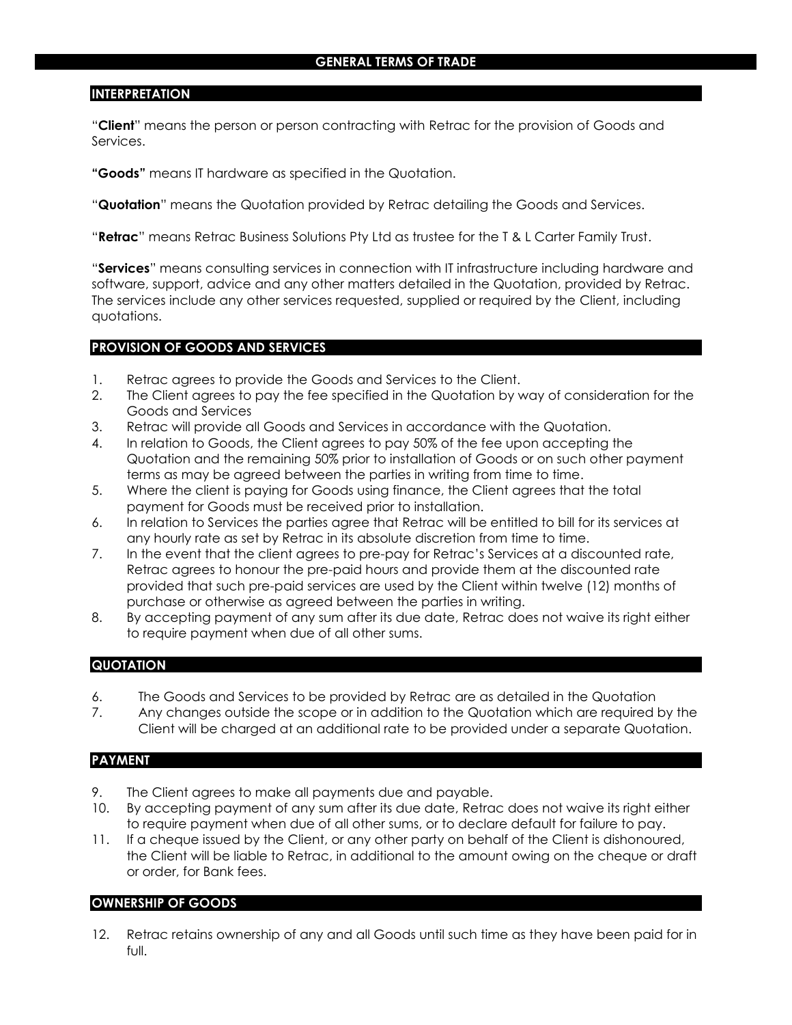# **INTERPRETATION**

"**Client**" means the person or person contracting with Retrac for the provision of Goods and Services.

**"Goods"** means IT hardware as specified in the Quotation.

"**Quotation**" means the Quotation provided by Retrac detailing the Goods and Services.

"**Retrac**" means Retrac Business Solutions Pty Ltd as trustee for the T & L Carter Family Trust.

"**Services**" means consulting services in connection with IT infrastructure including hardware and software, support, advice and any other matters detailed in the Quotation, provided by Retrac. The services include any other services requested, supplied or required by the Client, including quotations.

### **PROVISION OF GOODS AND SERVICES**

- 1. Retrac agrees to provide the Goods and Services to the Client.
- 2. The Client agrees to pay the fee specified in the Quotation by way of consideration for the Goods and Services
- 3. Retrac will provide all Goods and Services in accordance with the Quotation.
- 4. In relation to Goods, the Client agrees to pay 50% of the fee upon accepting the Quotation and the remaining 50% prior to installation of Goods or on such other payment terms as may be agreed between the parties in writing from time to time.
- 5. Where the client is paying for Goods using finance, the Client agrees that the total payment for Goods must be received prior to installation.
- 6. In relation to Services the parties agree that Retrac will be entitled to bill for its services at any hourly rate as set by Retrac in its absolute discretion from time to time.
- 7. In the event that the client agrees to pre-pay for Retrac's Services at a discounted rate, Retrac agrees to honour the pre-paid hours and provide them at the discounted rate provided that such pre-paid services are used by the Client within twelve (12) months of purchase or otherwise as agreed between the parties in writing.
- 8. By accepting payment of any sum after its due date, Retrac does not waive its right either to require payment when due of all other sums.

# **QUOTATION**

- 6. The Goods and Services to be provided by Retrac are as detailed in the Quotation
- 7. Any changes outside the scope or in addition to the Quotation which are required by the Client will be charged at an additional rate to be provided under a separate Quotation.

#### **PAYMENT**

- 9. The Client agrees to make all payments due and payable.
- 10. By accepting payment of any sum after its due date, Retrac does not waive its right either to require payment when due of all other sums, or to declare default for failure to pay.
- 11. If a cheque issued by the Client, or any other party on behalf of the Client is dishonoured, the Client will be liable to Retrac, in additional to the amount owing on the cheque or draft or order, for Bank fees.

# **OWNERSHIP OF GOODS**

12. Retrac retains ownership of any and all Goods until such time as they have been paid for in full.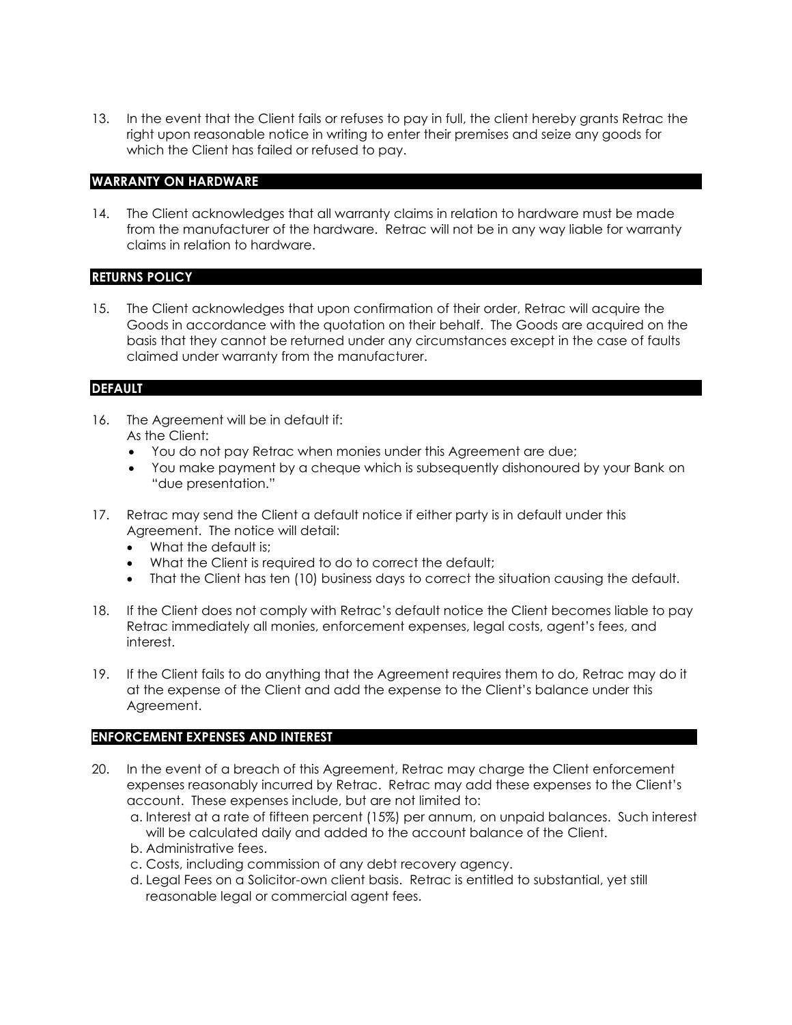13. In the event that the Client fails or refuses to pay in full, the client hereby grants Retrac the right upon reasonable notice in writing to enter their premises and seize any goods for which the Client has failed or refused to pay.

# **WARRANTY ON HARDWARE**

14. The Client acknowledges that all warranty claims in relation to hardware must be made from the manufacturer of the hardware. Retrac will not be in any way liable for warranty claims in relation to hardware.

### **RETURNS POLICY**

15. The Client acknowledges that upon confirmation of their order, Retrac will acquire the Goods in accordance with the quotation on their behalf. The Goods are acquired on the basis that they cannot be returned under any circumstances except in the case of faults claimed under warranty from the manufacturer.

# **DEFAULT**

- 16. The Agreement will be in default if: As the Client:
	- You do not pay Retrac when monies under this Agreement are due;
	- You make payment by a cheque which is subsequently dishonoured by your Bank on "due presentation."
- 17. Retrac may send the Client a default notice if either party is in default under this Agreement. The notice will detail:
	- What the default is:
	- What the Client is required to do to correct the default;
	- That the Client has ten (10) business days to correct the situation causing the default.
- 18. If the Client does not comply with Retrac's default notice the Client becomes liable to pay Retrac immediately all monies, enforcement expenses, legal costs, agent's fees, and interest.
- 19. If the Client fails to do anything that the Agreement requires them to do, Retrac may do it at the expense of the Client and add the expense to the Client's balance under this Agreement.

#### **ENFORCEMENT EXPENSES AND INTEREST**

- 20. In the event of a breach of this Agreement, Retrac may charge the Client enforcement expenses reasonably incurred by Retrac. Retrac may add these expenses to the Client's account. These expenses include, but are not limited to:
	- a. Interest at a rate of fifteen percent (15%) per annum, on unpaid balances. Such interest will be calculated daily and added to the account balance of the Client.
	- b. Administrative fees.
	- c. Costs, including commission of any debt recovery agency.
	- d. Legal Fees on a Solicitor-own client basis. Retrac is entitled to substantial, yet still reasonable legal or commercial agent fees.